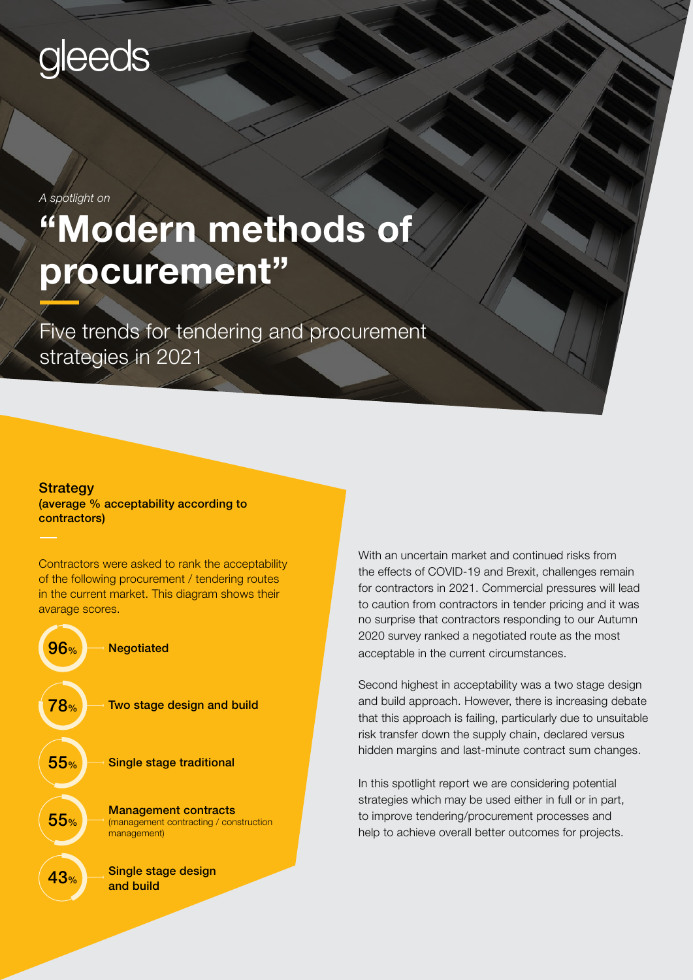# gleeds

*A spotlight on*

# "Modern methods of procurement"

Five trends for tendering and procurement strategies in 2021

### Strategy

(average % acceptability according to contractors)

Contractors were asked to rank the acceptability of the following procurement / tendering routes in the current market. This diagram shows their avarage scores.



With an uncertain market and continued risks from the effects of COVID-19 and Brexit, challenges remain for contractors in 2021. Commercial pressures will lead to caution from contractors in tender pricing and it was no surprise that contractors responding to our Autumn 2020 survey ranked a negotiated route as the most acceptable in the current circumstances.

Second highest in acceptability was a two stage design and build approach. However, there is increasing debate that this approach is failing, particularly due to unsuitable risk transfer down the supply chain, declared versus hidden margins and last-minute contract sum changes.

In this spotlight report we are considering potential strategies which may be used either in full or in part, to improve tendering/procurement processes and help to achieve overall better outcomes for projects.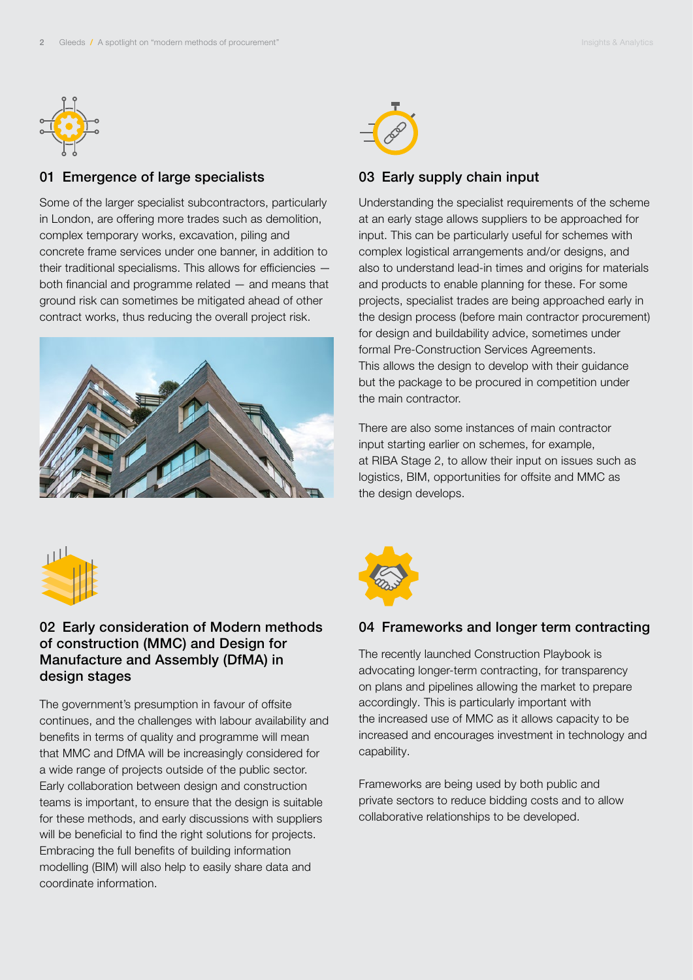

## 01 Emergence of large specialists

Some of the larger specialist subcontractors, particularly in London, are offering more trades such as demolition, complex temporary works, excavation, piling and concrete frame services under one banner, in addition to their traditional specialisms. This allows for efficiencies both financial and programme related — and means that ground risk can sometimes be mitigated ahead of other contract works, thus reducing the overall project risk.





### 03 Early supply chain input

Understanding the specialist requirements of the scheme at an early stage allows suppliers to be approached for input. This can be particularly useful for schemes with complex logistical arrangements and/or designs, and also to understand lead-in times and origins for materials and products to enable planning for these. For some projects, specialist trades are being approached early in the design process (before main contractor procurement) for design and buildability advice, sometimes under formal Pre-Construction Services Agreements. This allows the design to develop with their guidance but the package to be procured in competition under the main contractor.

There are also some instances of main contractor input starting earlier on schemes, for example, at RIBA Stage 2, to allow their input on issues such as logistics, BIM, opportunities for offsite and MMC as the design develops.



## 02 Early consideration of Modern methods of construction (MMC) and Design for Manufacture and Assembly (DfMA) in design stages

The government's presumption in favour of offsite continues, and the challenges with labour availability and benefits in terms of quality and programme will mean that MMC and DfMA will be increasingly considered for a wide range of projects outside of the public sector. Early collaboration between design and construction teams is important, to ensure that the design is suitable for these methods, and early discussions with suppliers will be beneficial to find the right solutions for projects. Embracing the full benefits of building information modelling (BIM) will also help to easily share data and coordinate information.



### 04 Frameworks and longer term contracting

The recently launched Construction Playbook is advocating longer-term contracting, for transparency on plans and pipelines allowing the market to prepare accordingly. This is particularly important with the increased use of MMC as it allows capacity to be increased and encourages investment in technology and capability.

Frameworks are being used by both public and private sectors to reduce bidding costs and to allow collaborative relationships to be developed.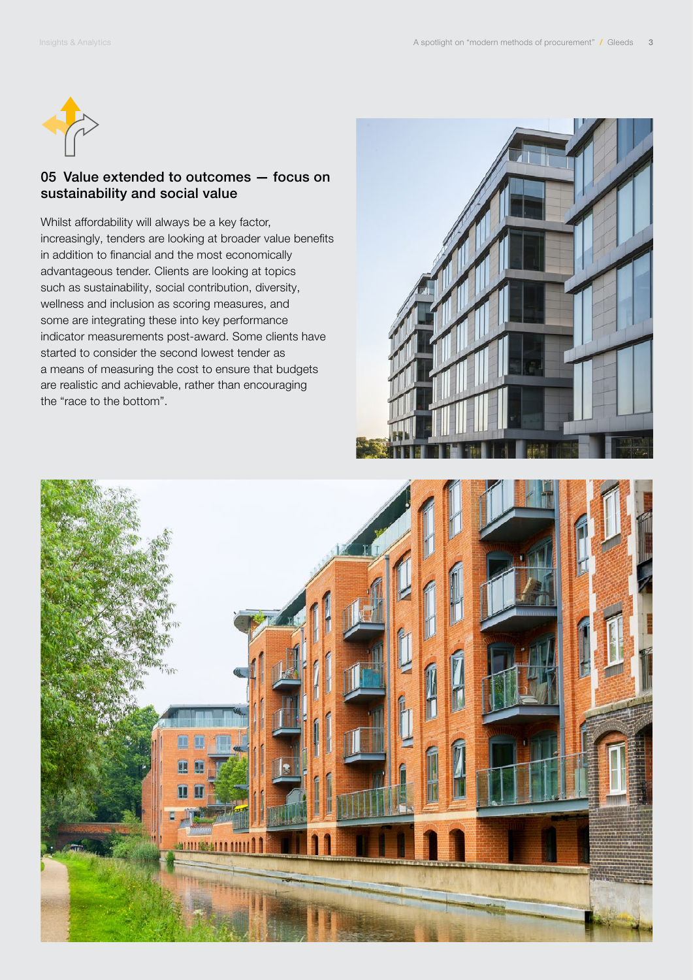

### 05 Value extended to outcomes — focus on sustainability and social value

Whilst affordability will always be a key factor, increasingly, tenders are looking at broader value benefits in addition to financial and the most economically advantageous tender. Clients are looking at topics such as sustainability, social contribution, diversity, wellness and inclusion as scoring measures, and some are integrating these into key performance indicator measurements post-award. Some clients have started to consider the second lowest tender as a means of measuring the cost to ensure that budgets are realistic and achievable, rather than encouraging the "race to the bottom".